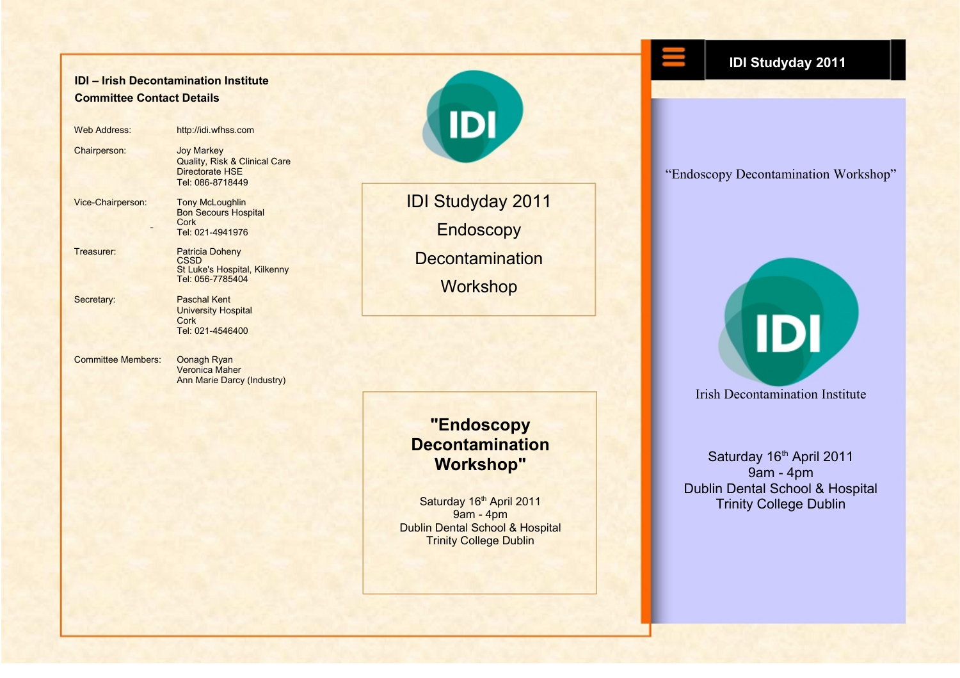### **IDI – Irish Decontamination Institute Committee Contact Details**

| <b>Web Address:</b>       | http://idi.wfhss.com                                                                                        |
|---------------------------|-------------------------------------------------------------------------------------------------------------|
| Chairperson:              | <b>Joy Markey</b><br><b>Quality, Risk &amp; Clinical Care</b><br><b>Directorate HSE</b><br>Tel: 086-8718449 |
| Vice-Chairperson:         | <b>Tony McLoughlin</b><br><b>Bon Secours Hospital</b><br>Cork<br>Tel: 021-4941976                           |
| Treasurer:                | <b>Patricia Doheny</b><br>CSSD<br>St Luke's Hospital, Kilkenny<br>Tel: 056-7785404                          |
| Secretary:                | <b>Paschal Kent</b><br><b>University Hospital</b><br>Cork<br>Tel: 021-4546400                               |
| <b>Committee Members:</b> | Oonagh Ryan                                                                                                 |

Veronica Maher Ann Marie Darcy (Industry)

# IDI Studyday 2011 **Endoscopy Decontamination Workshop**

**IDI** 

## **"Endoscopy Decontamination Workshop"**

Saturday 16th April 2011 9am - 4pm Dublin Dental School & Hospital **Trinity College Dublin** 

**IDI Studyday 2011**

"Endoscopy Decontamination Workshop"

Saturday 16<sup>th</sup> April 2011 9am - 4pm Dublin Dental School & Hospital Trinity College Dublin

Irish Decontamination Institute

IDI